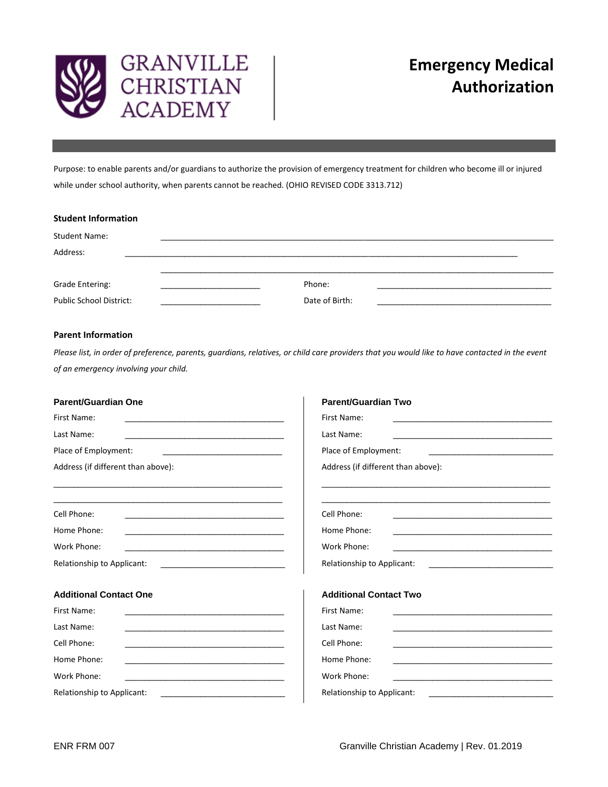

Purpose: to enable parents and/or guardians to authorize the provision of emergency treatment for children who become ill or injured while under school authority, when parents cannot be reached. (OHIO REVISED CODE 3313.712)

| <b>Student Information</b> |                |  |
|----------------------------|----------------|--|
| <b>Student Name:</b>       |                |  |
| Address:                   |                |  |
| <b>Grade Entering:</b>     | Phone:         |  |
| Public School District:    | Date of Birth: |  |

# **Parent Information**

*Please list, in order of preference, parents, guardians, relatives, or child care providers that you would like to have contacted in the event of an emergency involving your child.* 

| <b>Parent/Guardian One</b>                                                                                                                                                                                                           | <b>Parent/Guardian Two</b>                                                                                                                                                                                                           |  |
|--------------------------------------------------------------------------------------------------------------------------------------------------------------------------------------------------------------------------------------|--------------------------------------------------------------------------------------------------------------------------------------------------------------------------------------------------------------------------------------|--|
| First Name:                                                                                                                                                                                                                          | First Name:                                                                                                                                                                                                                          |  |
| <u> 1989 - Johann John Stone, markin film yn y system yn y system yn y system yn y system yn y system yn y system</u>                                                                                                                | <u> 1980 - An Dùbhlachd ann an Dùbhlachd ann an Dùbhlachd ann an Dùbhlachd ann an Dùbhlachd ann an Dùbhlachd ann </u>                                                                                                                |  |
| Last Name:                                                                                                                                                                                                                           | Last Name:                                                                                                                                                                                                                           |  |
| <u> 1989 - Johann John Stone, meilich an der Stone († 1918)</u>                                                                                                                                                                      | the control of the control of the control of the control of the control of                                                                                                                                                           |  |
| Place of Employment:                                                                                                                                                                                                                 | Place of Employment:                                                                                                                                                                                                                 |  |
|                                                                                                                                                                                                                                      |                                                                                                                                                                                                                                      |  |
| Address (if different than above):                                                                                                                                                                                                   | Address (if different than above):                                                                                                                                                                                                   |  |
| <u> 1989 - Johann Stoff, amerikansk politiker (* 1908)</u>                                                                                                                                                                           | <u> 1989 - Johann Stoff, amerikansk politiker (d. 1989)</u>                                                                                                                                                                          |  |
| Cell Phone:                                                                                                                                                                                                                          | Cell Phone:<br><u> 1989 - Johann John Stoff, deutscher Stoffen und der Stoffen und der Stoffen und der Stoffen und der Stoffen un</u>                                                                                                |  |
| Home Phone:                                                                                                                                                                                                                          | Home Phone:                                                                                                                                                                                                                          |  |
| <u> 1989 - Johann John Harry John Harry John Harry John Harry John Harry John Harry John Harry John Harry John Harry John Harry John Harry John Harry John Harry John Harry John Harry John Harry John Harry John Harry John Har</u> | <u> 1989 - Andrea Stadt Britain, amerikansk politik (</u>                                                                                                                                                                            |  |
| Work Phone:                                                                                                                                                                                                                          | Work Phone:                                                                                                                                                                                                                          |  |
|                                                                                                                                                                                                                                      | <u> 1989 - Johann Harry Harry Harry Harry Harry Harry Harry Harry Harry Harry Harry Harry Harry Harry Harry Harry Harry Harry Harry Harry Harry Harry Harry Harry Harry Harry Harry Harry Harry Harry Harry Harry Harry Harry Ha</u> |  |
| Relationship to Applicant:                                                                                                                                                                                                           | Relationship to Applicant:                                                                                                                                                                                                           |  |
|                                                                                                                                                                                                                                      | <u> 1989 - Jan Barnett, mars et al. (</u>                                                                                                                                                                                            |  |
| <b>Additional Contact One</b>                                                                                                                                                                                                        | <b>Additional Contact Two</b>                                                                                                                                                                                                        |  |
| First Name:                                                                                                                                                                                                                          | First Name:                                                                                                                                                                                                                          |  |
|                                                                                                                                                                                                                                      |                                                                                                                                                                                                                                      |  |
| Last Name:                                                                                                                                                                                                                           | Last Name:                                                                                                                                                                                                                           |  |
|                                                                                                                                                                                                                                      | <u> 1989 - Johann John Stein, mars et al. 1989 - John Stein, mars et al. 1989 - John Stein, mars et al. 1989 - Joh</u>                                                                                                               |  |
| Cell Phone:                                                                                                                                                                                                                          | Cell Phone:                                                                                                                                                                                                                          |  |
| <u> 1989 - Johann John Stein, mars an deutscher Stein († 1958)</u>                                                                                                                                                                   | <u> 1989 - Johann John Stein, mars et al. 1989 - John Stein, mars et al. 1989 - John Stein, mars et al. 1989 - Joh</u>                                                                                                               |  |
| Home Phone:                                                                                                                                                                                                                          | Home Phone:                                                                                                                                                                                                                          |  |
| <u> 1989 - Johann John Stone, mars et al. 1989 - John Stone, mars et al. 1989 - John Stone, mars et al. 1989 - John Stone</u>                                                                                                        |                                                                                                                                                                                                                                      |  |
| Work Phone:                                                                                                                                                                                                                          | Work Phone:                                                                                                                                                                                                                          |  |
| <u> 1989 - Johann John Stein, mars et al. 1989 - John Stein, mars et al. 1989 - John Stein, mars et al. 1989 - John Stein Stein Stein Stein Stein Stein Stein Stein Stein Stein Stein Stein Stein Stein Stein Stein Stein Stein </u> |                                                                                                                                                                                                                                      |  |
| Relationship to Applicant:                                                                                                                                                                                                           | Relationship to Applicant:                                                                                                                                                                                                           |  |
|                                                                                                                                                                                                                                      | <u> 1980 - An Aonaichte ann an Catharan ann an C</u>                                                                                                                                                                                 |  |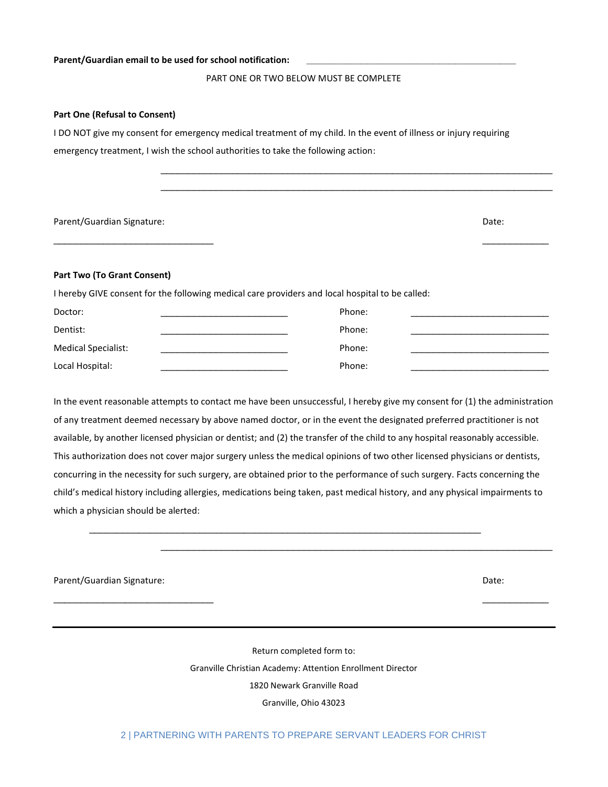### Parent/Guardian email to be used for school notification:

## PART ONE OR TWO BELOW MUST BE COMPLETE

\_\_\_\_\_\_\_\_\_\_\_\_\_\_\_\_\_\_\_\_\_\_\_\_\_\_\_\_\_\_\_\_\_\_\_\_\_\_\_\_\_\_\_\_\_\_\_\_\_\_\_\_\_\_\_\_\_\_\_\_\_\_\_\_\_\_\_\_\_\_\_ \_\_\_\_\_\_\_\_\_\_\_\_\_\_\_\_\_\_\_\_\_\_\_\_\_\_\_\_\_\_\_\_\_\_\_\_\_\_\_\_\_\_\_\_\_\_\_\_\_\_\_\_\_\_\_\_\_\_\_\_\_\_\_\_\_\_\_\_\_\_\_

#### **Part One (Refusal to Consent)**

I DO NOT give my consent for emergency medical treatment of my child. In the event of illness or injury requiring emergency treatment, I wish the school authorities to take the following action:

| Parent/Guardian Signature: | Date: |
|----------------------------|-------|
|----------------------------|-------|

### **Part Two (To Grant Consent)**

I hereby GIVE consent for the following medical care providers and local hospital to be called:

| Doctor:                    | Phone: |  |
|----------------------------|--------|--|
| Dentist:                   | Phone: |  |
| <b>Medical Specialist:</b> | Phone: |  |
| Local Hospital:            | Phone: |  |

\_\_\_\_\_\_\_\_\_\_\_\_\_\_\_\_\_\_\_\_\_\_\_\_\_\_\_\_\_ \_\_\_\_\_\_\_\_\_\_\_\_

In the event reasonable attempts to contact me have been unsuccessful, I hereby give my consent for (1) the administration of any treatment deemed necessary by above named doctor, or in the event the designated preferred practitioner is not available, by another licensed physician or dentist; and (2) the transfer of the child to any hospital reasonably accessible. This authorization does not cover major surgery unless the medical opinions of two other licensed physicians or dentists, concurring in the necessity for such surgery, are obtained prior to the performance of such surgery. Facts concerning the child's medical history including allergies, medications being taken, past medical history, and any physical impairments to which a physician should be alerted:

\_\_\_\_\_\_\_\_\_\_\_\_\_\_\_\_\_\_\_\_\_\_\_\_\_\_\_\_\_\_\_\_\_\_\_\_\_\_\_\_\_\_\_\_\_\_\_\_\_\_\_\_\_\_\_\_\_\_\_\_\_\_\_\_\_\_\_\_\_\_\_

\_\_\_\_\_\_\_\_\_\_\_\_\_\_\_\_\_\_\_\_\_\_\_\_\_\_\_\_\_\_\_\_\_\_\_\_\_\_\_\_\_\_\_\_\_\_\_\_\_\_\_\_\_\_\_\_\_\_\_\_\_\_\_\_\_\_\_\_\_\_\_

Parent/Guardian Signature: Date: Date: Date: Date: Date: Date: Date: Date: Date: Date: Date: Date: Date: Date: Date: Date: Date: Date: Date: Date: Date: Date: Date: Date: Date: Date: Date: Date: Date: Date: Date: Date: Dat

Return completed form to: Granville Christian Academy: Attention Enrollment Director 1820 Newark Granville Road Granville, Ohio 43023

 $\overline{\phantom{a}}$  , and the contract of the contract of the contract of the contract of the contract of the contract of the contract of the contract of the contract of the contract of the contract of the contract of the contrac

## 2 | PARTNERING WITH PARENTS TO PREPARE SERVANT LEADERS FOR CHRIST